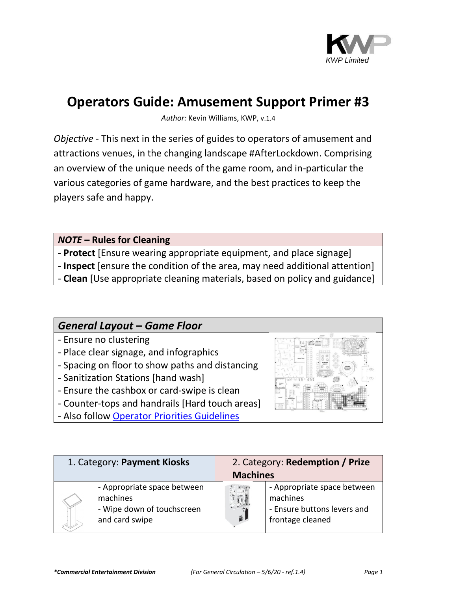

## **Operators Guide: Amusement Support Primer #3**

*Author:* Kevin Williams, KWP, v.1.4

*Objective* - This next in the series of guides to operators of amusement and attractions venues, in the changing landscape #AfterLockdown. Comprising an overview of the unique needs of the game room, and in-particular the various categories of game hardware, and the best practices to keep the players safe and happy.

*NOTE* **– Rules for Cleaning**

- **Protect** [Ensure wearing appropriate equipment, and place signage]
- **Inspect** [ensure the condition of the area, may need additional attention]
- **Clean** [Use appropriate cleaning materials, based on policy and guidance]

## *General Layout – Game Floor*

- Ensure no clustering
- Place clear signage, and infographics
- Spacing on floor to show paths and distancing
- Sanitization Stations [hand wash]
- Ensure the cashbox or card-swipe is clean
- Counter-tops and handrails [Hard touch areas]
- Also follow [Operator Priorities Guidelines](http://attractionpros.com/priorities-for-entertainment-operators-post-lockdown/)



| 1. Category: Payment Kiosks |                                                                                         | 2. Category: Redemption / Prize<br><b>Machines</b> |                                                                                            |
|-----------------------------|-----------------------------------------------------------------------------------------|----------------------------------------------------|--------------------------------------------------------------------------------------------|
|                             | - Appropriate space between<br>machines<br>- Wipe down of touchscreen<br>and card swipe |                                                    | - Appropriate space between<br>machines<br>- Ensure buttons levers and<br>frontage cleaned |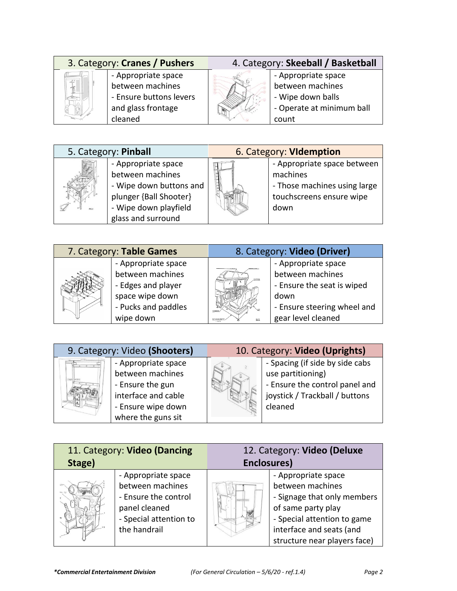| 3. Category: Cranes / Pushers |                         | 4. Category: Skeeball / Basketball |                           |
|-------------------------------|-------------------------|------------------------------------|---------------------------|
|                               | - Appropriate space     |                                    | - Appropriate space       |
| $\sim$                        | between machines        |                                    | between machines          |
|                               | - Ensure buttons levers |                                    | - Wipe down balls         |
|                               | and glass frontage      |                                    | - Operate at minimum ball |
|                               | cleaned                 |                                    | count                     |
|                               |                         |                                    |                           |

| 5. Category: Pinball |                                                                                                                                             | 6. Category: Videmption |                                                                                                             |
|----------------------|---------------------------------------------------------------------------------------------------------------------------------------------|-------------------------|-------------------------------------------------------------------------------------------------------------|
|                      | - Appropriate space<br>between machines<br>- Wipe down buttons and<br>plunger {Ball Shooter}<br>- Wipe down playfield<br>glass and surround |                         | - Appropriate space between<br>machines<br>- Those machines using large<br>touchscreens ensure wipe<br>down |

|  | 7. Category: Table Games |       | 8. Category: Video (Driver) |
|--|--------------------------|-------|-----------------------------|
|  | - Appropriate space      |       | - Appropriate space         |
|  | between machines         |       | between machines            |
|  | - Edges and player       |       | - Ensure the seat is wiped  |
|  | space wipe down          |       | down                        |
|  | - Pucks and paddles      | 'OWER | - Ensure steering wheel and |
|  | wipe down                | BACK  | gear level cleaned          |
|  |                          |       |                             |

| 9. Category: Video (Shooters) |                                                                                                                                | 10. Category: Video (Uprights) |                                                                                                                                     |
|-------------------------------|--------------------------------------------------------------------------------------------------------------------------------|--------------------------------|-------------------------------------------------------------------------------------------------------------------------------------|
|                               | - Appropriate space<br>between machines<br>- Ensure the gun<br>interface and cable<br>- Ensure wipe down<br>where the guns sit |                                | - Spacing (if side by side cabs<br>use partitioning)<br>- Ensure the control panel and<br>joystick / Trackball / buttons<br>cleaned |

| 11. Category: Video (Dancing |                        | 12. Category: Video (Deluxe |                              |
|------------------------------|------------------------|-----------------------------|------------------------------|
| Stage)                       |                        | Enclosures)                 |                              |
|                              | - Appropriate space    |                             | - Appropriate space          |
|                              | between machines       |                             | between machines             |
|                              | - Ensure the control   |                             | - Signage that only members  |
|                              | panel cleaned          |                             | of same party play           |
|                              | - Special attention to |                             | - Special attention to game  |
|                              | the handrail           |                             | interface and seats (and     |
|                              |                        |                             | structure near players face) |